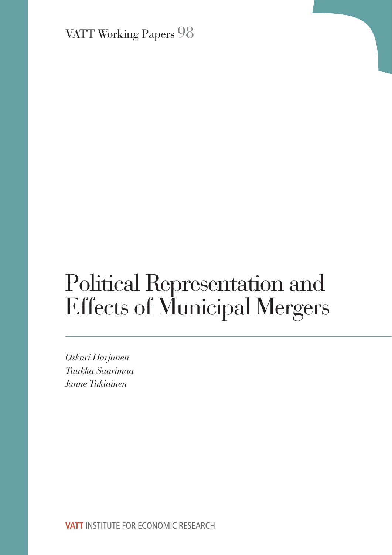VATT Working Papers 98

# Political Representation and Effects of Municipal Mergers

*Oskari Harjunen Tuukka Saarimaa Janne Tukiainen*

**VATT** INSTITUTE FOR ECONOMIC RESEARCH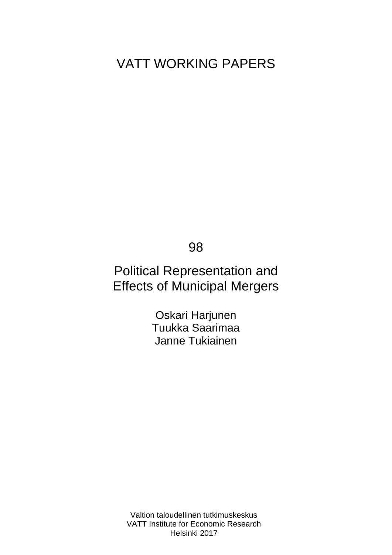# VATT WORKING PAPERS

98

# Political Representation and Effects of Municipal Mergers

Oskari Harjunen Tuukka Saarimaa Janne Tukiainen

Valtion taloudellinen tutkimuskeskus VATT Institute for Economic Research Helsinki 2017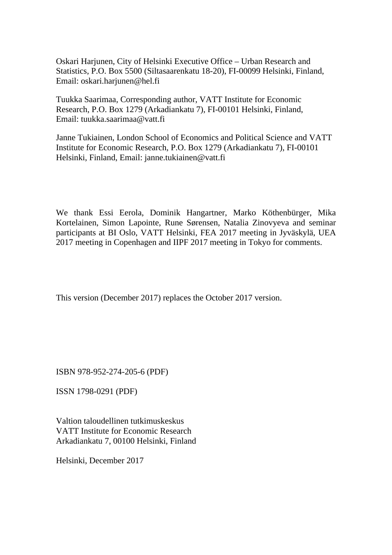Oskari Harjunen, City of Helsinki Executive Office – Urban Research and Statistics, P.O. Box 5500 (Siltasaarenkatu 18-20), FI-00099 Helsinki, Finland, Email: oskari.harjunen@hel.fi

Tuukka Saarimaa, Corresponding author, VATT Institute for Economic Research, P.O. Box 1279 (Arkadiankatu 7), FI-00101 Helsinki, Finland, Email: tuukka.saarimaa@vatt.fi

Janne Tukiainen, London School of Economics and Political Science and VATT Institute for Economic Research, P.O. Box 1279 (Arkadiankatu 7), FI-00101 Helsinki, Finland, Email: janne.tukiainen@vatt.fi

We thank Essi Eerola, Dominik Hangartner, Marko Köthenbürger, Mika Kortelainen, Simon Lapointe, Rune Sørensen, Natalia Zinovyeva and seminar participants at BI Oslo, VATT Helsinki, FEA 2017 meeting in Jyväskylä, UEA 2017 meeting in Copenhagen and IIPF 2017 meeting in Tokyo for comments.

This version (December 2017) replaces the October 2017 version.

ISBN 978-952-274-205-6 (PDF)

ISSN 1798-0291 (PDF)

Valtion taloudellinen tutkimuskeskus VATT Institute for Economic Research Arkadiankatu 7, 00100 Helsinki, Finland

Helsinki, December 2017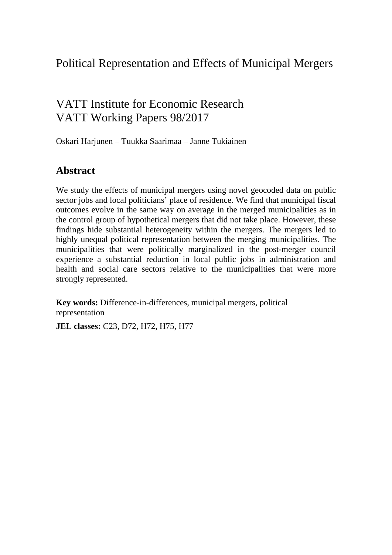## Political Representation and Effects of Municipal Mergers

# VATT Institute for Economic Research VATT Working Papers 98/2017

Oskari Harjunen – Tuukka Saarimaa – Janne Tukiainen

### **Abstract**

We study the effects of municipal mergers using novel geocoded data on public sector jobs and local politicians' place of residence. We find that municipal fiscal outcomes evolve in the same way on average in the merged municipalities as in the control group of hypothetical mergers that did not take place. However, these findings hide substantial heterogeneity within the mergers. The mergers led to highly unequal political representation between the merging municipalities. The municipalities that were politically marginalized in the post-merger council experience a substantial reduction in local public jobs in administration and health and social care sectors relative to the municipalities that were more strongly represented.

**Key words:** Difference-in-differences, municipal mergers, political representation

**JEL classes:** C23, D72, H72, H75, H77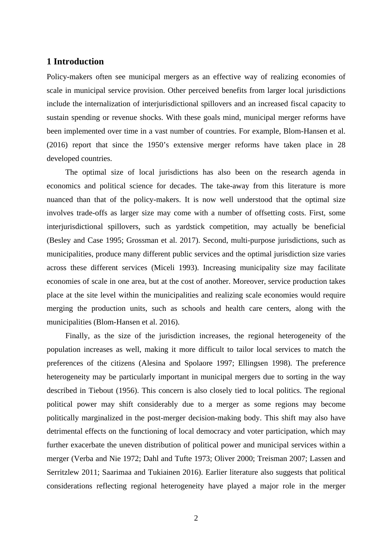#### **1 Introduction**

Policy-makers often see municipal mergers as an effective way of realizing economies of scale in municipal service provision. Other perceived benefits from larger local jurisdictions include the internalization of interjurisdictional spillovers and an increased fiscal capacity to sustain spending or revenue shocks. With these goals mind, municipal merger reforms have been implemented over time in a vast number of countries. For example, Blom-Hansen et al. (2016) report that since the 1950's extensive merger reforms have taken place in 28 developed countries.

The optimal size of local jurisdictions has also been on the research agenda in economics and political science for decades. The take-away from this literature is more nuanced than that of the policy-makers. It is now well understood that the optimal size involves trade-offs as larger size may come with a number of offsetting costs. First, some interjurisdictional spillovers, such as yardstick competition, may actually be beneficial (Besley and Case 1995; Grossman et al. 2017). Second, multi-purpose jurisdictions, such as municipalities, produce many different public services and the optimal jurisdiction size varies across these different services (Miceli 1993). Increasing municipality size may facilitate economies of scale in one area, but at the cost of another. Moreover, service production takes place at the site level within the municipalities and realizing scale economies would require merging the production units, such as schools and health care centers, along with the municipalities (Blom-Hansen et al. 2016).

Finally, as the size of the jurisdiction increases, the regional heterogeneity of the population increases as well, making it more difficult to tailor local services to match the preferences of the citizens (Alesina and Spolaore 1997; Ellingsen 1998). The preference heterogeneity may be particularly important in municipal mergers due to sorting in the way described in Tiebout (1956). This concern is also closely tied to local politics. The regional political power may shift considerably due to a merger as some regions may become politically marginalized in the post-merger decision-making body. This shift may also have detrimental effects on the functioning of local democracy and voter participation, which may further exacerbate the uneven distribution of political power and municipal services within a merger (Verba and Nie 1972; Dahl and Tufte 1973; Oliver 2000; Treisman 2007; Lassen and Serritzlew 2011; Saarimaa and Tukiainen 2016). Earlier literature also suggests that political considerations reflecting regional heterogeneity have played a major role in the merger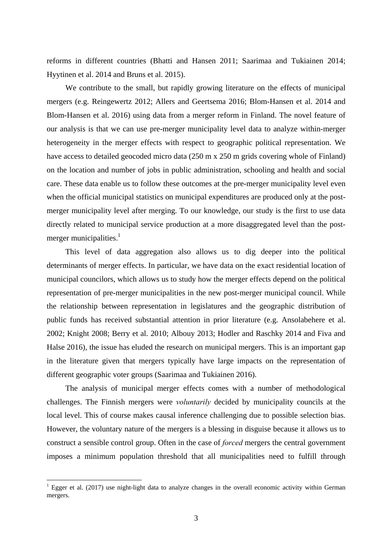reforms in different countries (Bhatti and Hansen 2011; Saarimaa and Tukiainen 2014; Hyytinen et al. 2014 and Bruns et al. 2015).

We contribute to the small, but rapidly growing literature on the effects of municipal mergers (e.g. Reingewertz 2012; Allers and Geertsema 2016; Blom-Hansen et al. 2014 and Blom-Hansen et al. 2016) using data from a merger reform in Finland. The novel feature of our analysis is that we can use pre-merger municipality level data to analyze within-merger heterogeneity in the merger effects with respect to geographic political representation. We have access to detailed geocoded micro data (250 m x 250 m grids covering whole of Finland) on the location and number of jobs in public administration, schooling and health and social care. These data enable us to follow these outcomes at the pre-merger municipality level even when the official municipal statistics on municipal expenditures are produced only at the postmerger municipality level after merging. To our knowledge, our study is the first to use data directly related to municipal service production at a more disaggregated level than the postmerger municipalities. $<sup>1</sup>$ </sup>

This level of data aggregation also allows us to dig deeper into the political determinants of merger effects. In particular, we have data on the exact residential location of municipal councilors, which allows us to study how the merger effects depend on the political representation of pre-merger municipalities in the new post-merger municipal council. While the relationship between representation in legislatures and the geographic distribution of public funds has received substantial attention in prior literature (e.g. Ansolabehere et al. 2002; Knight 2008; Berry et al. 2010; Albouy 2013; Hodler and Raschky 2014 and Fiva and Halse 2016), the issue has eluded the research on municipal mergers. This is an important gap in the literature given that mergers typically have large impacts on the representation of different geographic voter groups (Saarimaa and Tukiainen 2016).

The analysis of municipal merger effects comes with a number of methodological challenges. The Finnish mergers were *voluntarily* decided by municipality councils at the local level. This of course makes causal inference challenging due to possible selection bias. However, the voluntary nature of the mergers is a blessing in disguise because it allows us to construct a sensible control group. Often in the case of *forced* mergers the central government imposes a minimum population threshold that all municipalities need to fulfill through

 $\overline{a}$ 

<sup>&</sup>lt;sup>1</sup> Egger et al. (2017) use night-light data to analyze changes in the overall economic activity within German mergers.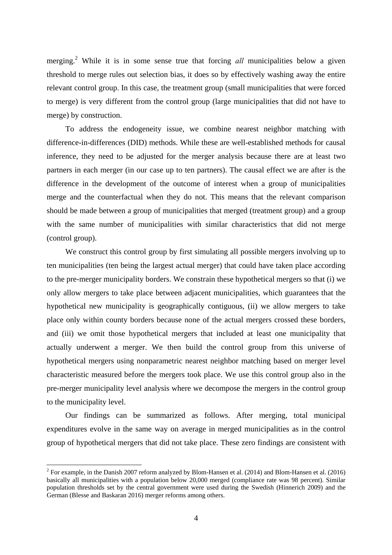merging.<sup>2</sup> While it is in some sense true that forcing *all* municipalities below a given threshold to merge rules out selection bias, it does so by effectively washing away the entire relevant control group. In this case, the treatment group (small municipalities that were forced to merge) is very different from the control group (large municipalities that did not have to merge) by construction.

To address the endogeneity issue, we combine nearest neighbor matching with difference-in-differences (DID) methods. While these are well-established methods for causal inference, they need to be adjusted for the merger analysis because there are at least two partners in each merger (in our case up to ten partners). The causal effect we are after is the difference in the development of the outcome of interest when a group of municipalities merge and the counterfactual when they do not. This means that the relevant comparison should be made between a group of municipalities that merged (treatment group) and a group with the same number of municipalities with similar characteristics that did not merge (control group).

We construct this control group by first simulating all possible mergers involving up to ten municipalities (ten being the largest actual merger) that could have taken place according to the pre-merger municipality borders. We constrain these hypothetical mergers so that (i) we only allow mergers to take place between adjacent municipalities, which guarantees that the hypothetical new municipality is geographically contiguous, (ii) we allow mergers to take place only within county borders because none of the actual mergers crossed these borders, and (iii) we omit those hypothetical mergers that included at least one municipality that actually underwent a merger. We then build the control group from this universe of hypothetical mergers using nonparametric nearest neighbor matching based on merger level characteristic measured before the mergers took place. We use this control group also in the pre-merger municipality level analysis where we decompose the mergers in the control group to the municipality level.

Our findings can be summarized as follows. After merging, total municipal expenditures evolve in the same way on average in merged municipalities as in the control group of hypothetical mergers that did not take place. These zero findings are consistent with

 $\overline{a}$ 

<sup>&</sup>lt;sup>2</sup> For example, in the Danish 2007 reform analyzed by Blom-Hansen et al. (2014) and Blom-Hansen et al. (2016) basically all municipalities with a population below 20,000 merged (compliance rate was 98 percent). Similar population thresholds set by the central government were used during the Swedish (Hinnerich 2009) and the German (Blesse and Baskaran 2016) merger reforms among others.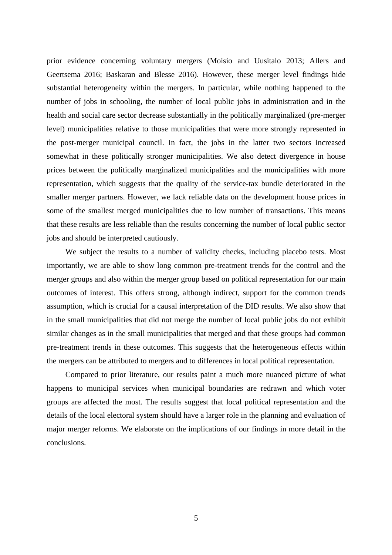prior evidence concerning voluntary mergers (Moisio and Uusitalo 2013; Allers and Geertsema 2016; Baskaran and Blesse 2016). However, these merger level findings hide substantial heterogeneity within the mergers. In particular, while nothing happened to the number of jobs in schooling, the number of local public jobs in administration and in the health and social care sector decrease substantially in the politically marginalized (pre-merger level) municipalities relative to those municipalities that were more strongly represented in the post-merger municipal council. In fact, the jobs in the latter two sectors increased somewhat in these politically stronger municipalities. We also detect divergence in house prices between the politically marginalized municipalities and the municipalities with more representation, which suggests that the quality of the service-tax bundle deteriorated in the smaller merger partners. However, we lack reliable data on the development house prices in some of the smallest merged municipalities due to low number of transactions. This means that these results are less reliable than the results concerning the number of local public sector jobs and should be interpreted cautiously.

We subject the results to a number of validity checks, including placebo tests. Most importantly, we are able to show long common pre-treatment trends for the control and the merger groups and also within the merger group based on political representation for our main outcomes of interest. This offers strong, although indirect, support for the common trends assumption, which is crucial for a causal interpretation of the DID results. We also show that in the small municipalities that did not merge the number of local public jobs do not exhibit similar changes as in the small municipalities that merged and that these groups had common pre-treatment trends in these outcomes. This suggests that the heterogeneous effects within the mergers can be attributed to mergers and to differences in local political representation.

Compared to prior literature, our results paint a much more nuanced picture of what happens to municipal services when municipal boundaries are redrawn and which voter groups are affected the most. The results suggest that local political representation and the details of the local electoral system should have a larger role in the planning and evaluation of major merger reforms. We elaborate on the implications of our findings in more detail in the conclusions.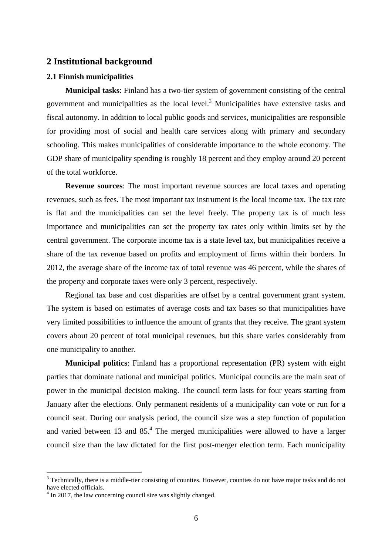#### **2 Institutional background**

#### **2.1 Finnish municipalities**

**Municipal tasks**: Finland has a two-tier system of government consisting of the central government and municipalities as the local level.<sup>3</sup> Municipalities have extensive tasks and fiscal autonomy. In addition to local public goods and services, municipalities are responsible for providing most of social and health care services along with primary and secondary schooling. This makes municipalities of considerable importance to the whole economy. The GDP share of municipality spending is roughly 18 percent and they employ around 20 percent of the total workforce.

**Revenue sources**: The most important revenue sources are local taxes and operating revenues, such as fees. The most important tax instrument is the local income tax. The tax rate is flat and the municipalities can set the level freely. The property tax is of much less importance and municipalities can set the property tax rates only within limits set by the central government. The corporate income tax is a state level tax, but municipalities receive a share of the tax revenue based on profits and employment of firms within their borders. In 2012, the average share of the income tax of total revenue was 46 percent, while the shares of the property and corporate taxes were only 3 percent, respectively.

Regional tax base and cost disparities are offset by a central government grant system. The system is based on estimates of average costs and tax bases so that municipalities have very limited possibilities to influence the amount of grants that they receive. The grant system covers about 20 percent of total municipal revenues, but this share varies considerably from one municipality to another.

**Municipal politics**: Finland has a proportional representation (PR) system with eight parties that dominate national and municipal politics. Municipal councils are the main seat of power in the municipal decision making. The council term lasts for four years starting from January after the elections. Only permanent residents of a municipality can vote or run for a council seat. During our analysis period, the council size was a step function of population and varied between 13 and  $85<sup>4</sup>$ . The merged municipalities were allowed to have a larger council size than the law dictated for the first post-merger election term. Each municipality

 $\overline{a}$ 

 $3$  Technically, there is a middle-tier consisting of counties. However, counties do not have major tasks and do not have elected officials.

<sup>&</sup>lt;sup>4</sup> In 2017, the law concerning council size was slightly changed.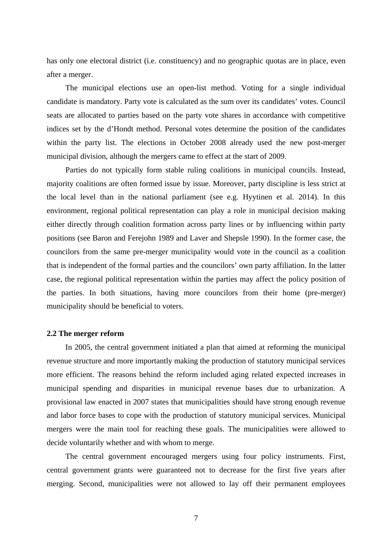has only one electoral district (i.e. constituency) and no geographic quotas are in place, even after a merger.

The municipal elections use an open-list method. Voting for a single individual candidate is mandatory. Party vote is calculated as the sum over its candidates' votes. Council seats are allocated to parties based on the party vote shares in accordance with competitive indices set by the d'Hondt method. Personal votes determine the position of the candidates within the party list. The elections in October 2008 already used the new post-merger municipal division, although the mergers came to effect at the start of 2009.

Parties do not typically form stable ruling coalitions in municipal councils. Instead, majority coalitions are often formed issue by issue. Moreover, party discipline is less strict at the local level than in the national parliament (see e.g. Hyytinen et al. 2014). In this environment, regional political representation can play a role in municipal decision making either directly through coalition formation across party lines or by influencing within party positions (see Baron and Ferejohn 1989 and Laver and Shepsle 1990). In the former case, the councilors from the same pre-merger municipality would vote in the council as a coalition that is independent of the formal parties and the councilors' own party affiliation. In the latter case, the regional political representation within the parties may affect the policy position of the parties. In both situations, having more councilors from their home (pre-merger) municipality should be beneficial to voters.

#### **2.2 The merger reform**

In 2005, the central government initiated a plan that aimed at reforming the municipal revenue structure and more importantly making the production of statutory municipal services more efficient. The reasons behind the reform included aging related expected increases in municipal spending and disparities in municipal revenue bases due to urbanization. A provisional law enacted in 2007 states that municipalities should have strong enough revenue and labor force bases to cope with the production of statutory municipal services. Municipal mergers were the main tool for reaching these goals. The municipalities were allowed to decide voluntarily whether and with whom to merge.

The central government encouraged mergers using four policy instruments. First, central government grants were guaranteed not to decrease for the first five years after merging. Second, municipalities were not allowed to lay off their permanent employees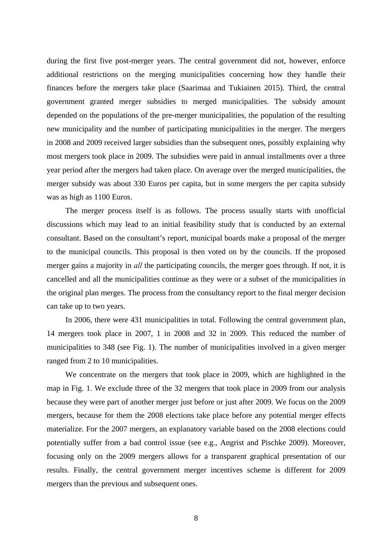during the first five post-merger years. The central government did not, however, enforce additional restrictions on the merging municipalities concerning how they handle their finances before the mergers take place (Saarimaa and Tukiainen 2015). Third, the central government granted merger subsidies to merged municipalities. The subsidy amount depended on the populations of the pre-merger municipalities, the population of the resulting new municipality and the number of participating municipalities in the merger. The mergers in 2008 and 2009 received larger subsidies than the subsequent ones, possibly explaining why most mergers took place in 2009. The subsidies were paid in annual installments over a three year period after the mergers had taken place. On average over the merged municipalities, the merger subsidy was about 330 Euros per capita, but in some mergers the per capita subsidy was as high as 1100 Euros.

The merger process itself is as follows. The process usually starts with unofficial discussions which may lead to an initial feasibility study that is conducted by an external consultant. Based on the consultant's report, municipal boards make a proposal of the merger to the municipal councils. This proposal is then voted on by the councils. If the proposed merger gains a majority in *all* the participating councils, the merger goes through. If not, it is cancelled and all the municipalities continue as they were or a subset of the municipalities in the original plan merges. The process from the consultancy report to the final merger decision can take up to two years.

In 2006, there were 431 municipalities in total. Following the central government plan, 14 mergers took place in 2007, 1 in 2008 and 32 in 2009. This reduced the number of municipalities to 348 (see Fig. 1). The number of municipalities involved in a given merger ranged from 2 to 10 municipalities.

We concentrate on the mergers that took place in 2009, which are highlighted in the map in Fig. 1. We exclude three of the 32 mergers that took place in 2009 from our analysis because they were part of another merger just before or just after 2009. We focus on the 2009 mergers, because for them the 2008 elections take place before any potential merger effects materialize. For the 2007 mergers, an explanatory variable based on the 2008 elections could potentially suffer from a bad control issue (see e.g., Angrist and Pischke 2009). Moreover, focusing only on the 2009 mergers allows for a transparent graphical presentation of our results. Finally, the central government merger incentives scheme is different for 2009 mergers than the previous and subsequent ones.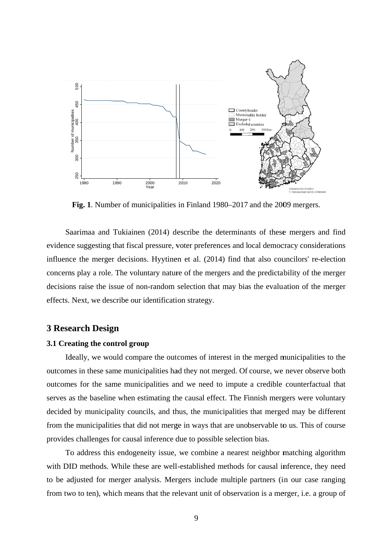

Fig. 1. Number of municipalities in Finland 1980–2017 and the 2009 mergers.

Saarimaa and Tukiainen (2014) describe the determinants of these mergers and find evidence suggesting that fiscal pressure, voter preferences and local democracy considerations influence the merger decisions. Hyytinen et al. (2014) find that also councilors' re-election concerns play a role. The voluntary nature of the mergers and the predictability of the merger decisions raise the issue of non-random selection that may bias the evaluation of the merger effects. Next, we describe our identification strategy.

#### **3 Research Design**

#### **3.1 Creating the control group**

Ideally, we would compare the outcomes of interest in the merged municipalities to the outcomes in these same municipalities had they not merged. Of course, we never observe both outcomes for the same municipalities and we need to impute a credible counterfactual that serves as the baseline when estimating the causal effect. The Finnish mergers were voluntary decided by municipality councils, and thus, the municipalities that merged may be different from the municipalities that did not merge in ways that are unobservable to us. This of course provides challenges for causal inference due to possible selection bias.

To address this endogeneity issue, we combine a nearest neighbor matching algorithm with DID methods. While these are well-established methods for causal inference, they need to be adjusted for merger analysis. Mergers include multiple partners (in our case ranging from two to ten), which means that the relevant unit of observation is a merger, i.e. a group of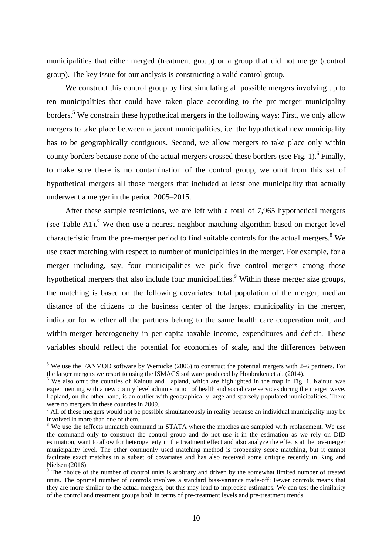municipalities that either merged (treatment group) or a group that did not merge (control group). The key issue for our analysis is constructing a valid control group.

We construct this control group by first simulating all possible mergers involving up to ten municipalities that could have taken place according to the pre-merger municipality borders.<sup>5</sup> We constrain these hypothetical mergers in the following ways: First, we only allow mergers to take place between adjacent municipalities, i.e. the hypothetical new municipality has to be geographically contiguous. Second, we allow mergers to take place only within county borders because none of the actual mergers crossed these borders (see Fig. 1). <sup>6</sup> Finally, to make sure there is no contamination of the control group, we omit from this set of hypothetical mergers all those mergers that included at least one municipality that actually underwent a merger in the period 2005–2015.

After these sample restrictions, we are left with a total of 7,965 hypothetical mergers (see Table A1).<sup>7</sup> We then use a nearest neighbor matching algorithm based on merger level characteristic from the pre-merger period to find suitable controls for the actual mergers.<sup>8</sup> We use exact matching with respect to number of municipalities in the merger. For example, for a merger including, say, four municipalities we pick five control mergers among those hypothetical mergers that also include four municipalities.<sup>9</sup> Within these merger size groups, the matching is based on the following covariates: total population of the merger, median distance of the citizens to the business center of the largest municipality in the merger, indicator for whether all the partners belong to the same health care cooperation unit, and within-merger heterogeneity in per capita taxable income, expenditures and deficit. These variables should reflect the potential for economies of scale, and the differences between

<sup>&</sup>lt;sup>5</sup> We use the FANMOD software by Wernicke (2006) to construct the potential mergers with 2–6 partners. For the larger mergers we resort to using the ISMAGS software produced by Houbraken et al. (2014).

<sup>&</sup>lt;sup>6</sup> We also omit the counties of Kainuu and Lapland, which are highlighted in the map in Fig. 1. Kainuu was experimenting with a new county level administration of health and social care services during the merger wave. Lapland, on the other hand, is an outlier with geographically large and sparsely populated municipalities. There were no mergers in these counties in 2009.

 $<sup>7</sup>$  All of these mergers would not be possible simultaneously in reality because an individual municipality may be</sup> involved in more than one of them.

<sup>&</sup>lt;sup>8</sup> We use the teffects nnmatch command in STATA where the matches are sampled with replacement. We use the command only to construct the control group and do not use it in the estimation as we rely on DID estimation, want to allow for heterogeneity in the treatment effect and also analyze the effects at the pre-merger municipality level. The other commonly used matching method is propensity score matching, but it cannot facilitate exact matches in a subset of covariates and has also received some critique recently in King and Nielsen (2016).

<sup>&</sup>lt;sup>9</sup> The choice of the number of control units is arbitrary and driven by the somewhat limited number of treated units. The optimal number of controls involves a standard bias-variance trade-off: Fewer controls means that they are more similar to the actual mergers, but this may lead to imprecise estimates. We can test the similarity of the control and treatment groups both in terms of pre-treatment levels and pre-treatment trends.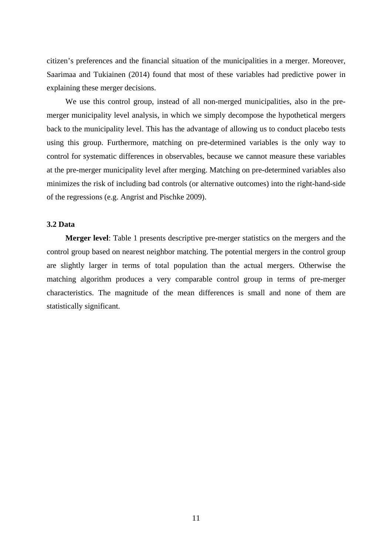citizen's preferences and the financial situation of the municipalities in a merger. Moreover, Saarimaa and Tukiainen (2014) found that most of these variables had predictive power in explaining these merger decisions.

We use this control group, instead of all non-merged municipalities, also in the premerger municipality level analysis, in which we simply decompose the hypothetical mergers back to the municipality level. This has the advantage of allowing us to conduct placebo tests using this group. Furthermore, matching on pre-determined variables is the only way to control for systematic differences in observables, because we cannot measure these variables at the pre-merger municipality level after merging. Matching on pre-determined variables also minimizes the risk of including bad controls (or alternative outcomes) into the right-hand-side of the regressions (e.g. Angrist and Pischke 2009).

#### **3.2 Data**

**Merger level**: Table 1 presents descriptive pre-merger statistics on the mergers and the control group based on nearest neighbor matching. The potential mergers in the control group are slightly larger in terms of total population than the actual mergers. Otherwise the matching algorithm produces a very comparable control group in terms of pre-merger characteristics. The magnitude of the mean differences is small and none of them are statistically significant.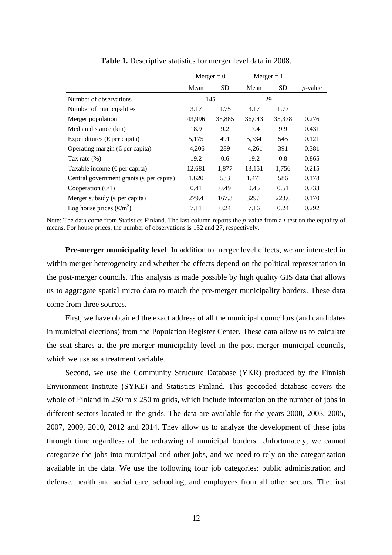|                                                    | $Merger = 0$ |               | $Merger = 1$ |        |                 |
|----------------------------------------------------|--------------|---------------|--------------|--------|-----------------|
|                                                    | Mean         | <b>SD</b>     | Mean         | SD     | <i>p</i> -value |
| Number of observations                             |              | 145           | 29           |        |                 |
| Number of municipalities                           | 3.17         | 1.75          | 3.17         | 1.77   |                 |
| Merger population                                  | 43,996       | 35,885        | 36,043       | 35,378 | 0.276           |
| Median distance (km)                               | 18.9         | 9.2           | 17.4         | 9.9    | 0.431           |
| Expenditures ( $\epsilon$ per capita)              | 5,175        | 491           | 5,334        | 545    | 0.121           |
| Operating margin ( $\epsilon$ per capita)          | $-4,206$     | 289           | $-4,261$     | 391    | 0.381           |
| Tax rate $(\%)$                                    | 19.2         | $0.6^{\circ}$ | 19.2         | 0.8    | 0.865           |
| Taxable income ( $\epsilon$ per capita)            | 12,681       | 1,877         | 13,151       | 1,756  | 0.215           |
| Central government grants ( $\epsilon$ per capita) | 1,620        | 533           | 1,471        | 586    | 0.178           |
| Cooperation $(0/1)$                                | 0.41         | 0.49          | 0.45         | 0.51   | 0.733           |
| Merger subsidy ( $\epsilon$ per capita)            | 279.4        | 167.3         | 329.1        | 223.6  | 0.170           |
| Log house prices ( $\epsilon/m^2$ )                | 7.11         | 0.24          | 7.16         | 0.24   | 0.292           |

**Table 1.** Descriptive statistics for merger level data in 2008.

Note: The data come from Statistics Finland. The last column reports the *p*-value from a *t*-test on the equality of means. For house prices, the number of observations is 132 and 27, respectively.

**Pre-merger municipality level**: In addition to merger level effects, we are interested in within merger heterogeneity and whether the effects depend on the political representation in the post-merger councils. This analysis is made possible by high quality GIS data that allows us to aggregate spatial micro data to match the pre-merger municipality borders. These data come from three sources.

First, we have obtained the exact address of all the municipal councilors (and candidates in municipal elections) from the Population Register Center. These data allow us to calculate the seat shares at the pre-merger municipality level in the post-merger municipal councils, which we use as a treatment variable.

Second, we use the Community Structure Database (YKR) produced by the Finnish Environment Institute (SYKE) and Statistics Finland. This geocoded database covers the whole of Finland in 250 m x 250 m grids, which include information on the number of jobs in different sectors located in the grids. The data are available for the years 2000, 2003, 2005, 2007, 2009, 2010, 2012 and 2014. They allow us to analyze the development of these jobs through time regardless of the redrawing of municipal borders. Unfortunately, we cannot categorize the jobs into municipal and other jobs, and we need to rely on the categorization available in the data. We use the following four job categories: public administration and defense, health and social care, schooling, and employees from all other sectors. The first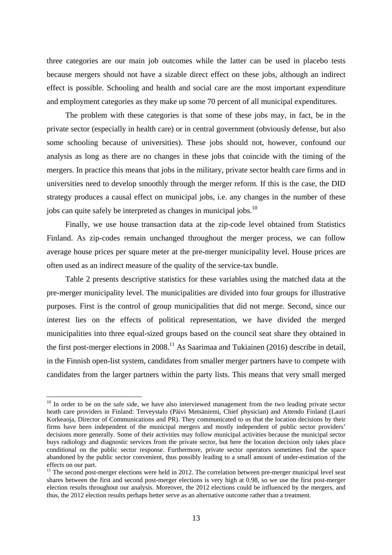three categories are our main job outcomes while the latter can be used in placebo tests because mergers should not have a sizable direct effect on these jobs, although an indirect effect is possible. Schooling and health and social care are the most important expenditure and employment categories as they make up some 70 percent of all municipal expenditures.

The problem with these categories is that some of these jobs may, in fact, be in the private sector (especially in health care) or in central government (obviously defense, but also some schooling because of universities). These jobs should not, however, confound our analysis as long as there are no changes in these jobs that coincide with the timing of the mergers. In practice this means that jobs in the military, private sector health care firms and in universities need to develop smoothly through the merger reform. If this is the case, the DID strategy produces a causal effect on municipal jobs, i.e. any changes in the number of these jobs can quite safely be interpreted as changes in municipal jobs.<sup>10</sup>

Finally, we use house transaction data at the zip-code level obtained from Statistics Finland. As zip-codes remain unchanged throughout the merger process, we can follow average house prices per square meter at the pre-merger municipality level. House prices are often used as an indirect measure of the quality of the service-tax bundle.

Table 2 presents descriptive statistics for these variables using the matched data at the pre-merger municipality level. The municipalities are divided into four groups for illustrative purposes. First is the control of group municipalities that did not merge. Second, since our interest lies on the effects of political representation, we have divided the merged municipalities into three equal-sized groups based on the council seat share they obtained in the first post-merger elections in  $2008$ .<sup>11</sup> As Saarimaa and Tukiainen (2016) describe in detail, in the Finnish open-list system, candidates from smaller merger partners have to compete with candidates from the larger partners within the party lists. This means that very small merged

 $\overline{a}$ 

<sup>&</sup>lt;sup>10</sup> In order to be on the safe side, we have also interviewed management from the two leading private sector heath care providers in Finland: Terveystalo (Päivi Metsäniemi, Chief physician) and Attendo Finland (Lauri Korkeaoja, Director of Communications and PR). They communicated to us that the location decisions by their firms have been independent of the municipal mergers and mostly independent of public sector providers' decisions more generally. Some of their activities may follow municipal activities because the municipal sector buys radiology and diagnostic services from the private sector, but here the location decision only takes place conditional on the public sector response. Furthermore, private sector operators sometimes find the space abandoned by the public sector convenient, thus possibly leading to a small amount of under-estimation of the effects on our part.

 $11$  The second post-merger elections were held in 2012. The correlation between pre-merger municipal level seat shares between the first and second post-merger elections is very high at 0.98, so we use the first post-merger election results throughout our analysis. Moreover, the 2012 elections could be influenced by the mergers, and thus, the 2012 election results perhaps better serve as an alternative outcome rather than a treatment.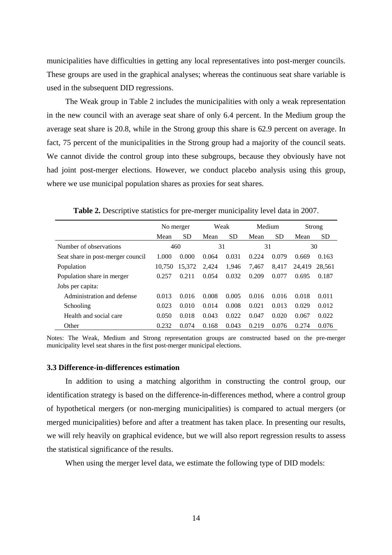municipalities have difficulties in getting any local representatives into post-merger councils. These groups are used in the graphical analyses; whereas the continuous seat share variable is used in the subsequent DID regressions.

The Weak group in Table 2 includes the municipalities with only a weak representation in the new council with an average seat share of only 6.4 percent. In the Medium group the average seat share is 20.8, while in the Strong group this share is 62.9 percent on average. In fact, 75 percent of the municipalities in the Strong group had a majority of the council seats. We cannot divide the control group into these subgroups, because they obviously have not had joint post-merger elections. However, we conduct placebo analysis using this group, where we use municipal population shares as proxies for seat shares.

|                                   |        | No merger |       | Weak      | Medium |           |        | Strong    |
|-----------------------------------|--------|-----------|-------|-----------|--------|-----------|--------|-----------|
|                                   | Mean   | <b>SD</b> | Mean  | <b>SD</b> | Mean   | <b>SD</b> | Mean   | <b>SD</b> |
| Number of observations            | 460    |           | 31    |           | 31     |           |        | 30        |
| Seat share in post-merger council | 1.000  | 0.000     | 0.064 | 0.031     | 0.224  | 0.079     | 0.669  | 0.163     |
| Population                        | 10.750 | 15.372    | 2.424 | 1,946     | 7,467  | 8.417     | 24.419 | 28.561    |
| Population share in merger        | 0.257  | 0.211     | 0.054 | 0.032     | 0.209  | 0.077     | 0.695  | 0.187     |
| Jobs per capita:                  |        |           |       |           |        |           |        |           |
| Administration and defense        | 0.013  | 0.016     | 0.008 | 0.005     | 0.016  | 0.016     | 0.018  | 0.011     |
| Schooling                         | 0.023  | 0.010     | 0.014 | 0.008     | 0.021  | 0.013     | 0.029  | 0.012     |
| Health and social care            | 0.050  | 0.018     | 0.043 | 0.022     | 0.047  | 0.020     | 0.067  | 0.022     |
| Other                             | 0.232  | 0.074     | 0.168 | 0.043     | 0.219  | 0.076     | 0.274  | 0.076     |

**Table 2.** Descriptive statistics for pre-merger municipality level data in 2007.

Notes: The Weak, Medium and Strong representation groups are constructed based on the pre-merger municipality level seat shares in the first post-merger municipal elections.

#### **3.3 Difference-in-differences estimation**

In addition to using a matching algorithm in constructing the control group, our identification strategy is based on the difference-in-differences method, where a control group of hypothetical mergers (or non-merging municipalities) is compared to actual mergers (or merged municipalities) before and after a treatment has taken place. In presenting our results, we will rely heavily on graphical evidence, but we will also report regression results to assess the statistical significance of the results.

When using the merger level data, we estimate the following type of DID models: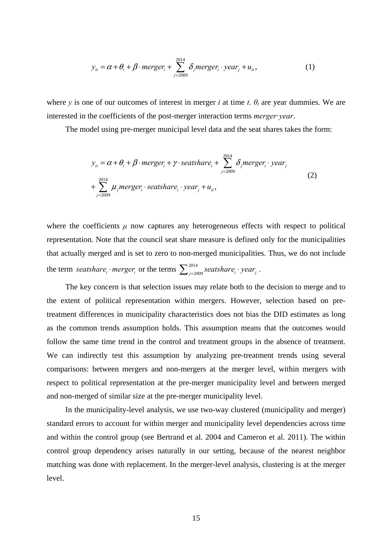$$
y_{it} = \alpha + \theta_t + \beta \cdot merger_i + \sum_{j=2009}^{2014} \delta_j merger_i \cdot year_j + u_{it},
$$
 (1)

where *y* is one of our outcomes of interest in merger *i* at time *t*.  $\theta$ *t* are year dummies. We are interested in the coefficients of the post-merger interaction terms *merger*·*year*.

The model using pre-merger municipal level data and the seat shares takes the form:

$$
y_{it} = \alpha + \theta_t + \beta \cdot merger_i + \gamma \cdot seatshare_i + \sum_{j=2009}^{2014} \delta_j merger_i \cdot year_j
$$
  
+ 
$$
\sum_{j=2009}^{2014} \mu_j merger_i \cdot seatshare_i \cdot year_j + u_{it},
$$
 (2)

where the coefficients  $\mu$  now captures any heterogeneous effects with respect to political representation. Note that the council seat share measure is defined only for the municipalities that actually merged and is set to zero to non-merged municipalities. Thus, we do not include the term *seatshare* i<sub>i</sub>  $\cdot$  *merger* ii or the terms  $\sum_{j=2009}^{2014}$  *seatshare* i<sub>i</sub>  $\cdot$  *year* j.

The key concern is that selection issues may relate both to the decision to merge and to the extent of political representation within mergers. However, selection based on pretreatment differences in municipality characteristics does not bias the DID estimates as long as the common trends assumption holds. This assumption means that the outcomes would follow the same time trend in the control and treatment groups in the absence of treatment. We can indirectly test this assumption by analyzing pre-treatment trends using several comparisons: between mergers and non-mergers at the merger level, within mergers with respect to political representation at the pre-merger municipality level and between merged and non-merged of similar size at the pre-merger municipality level.

In the municipality-level analysis, we use two-way clustered (municipality and merger) standard errors to account for within merger and municipality level dependencies across time and within the control group (see Bertrand et al. 2004 and Cameron et al. 2011). The within control group dependency arises naturally in our setting, because of the nearest neighbor matching was done with replacement. In the merger-level analysis, clustering is at the merger level.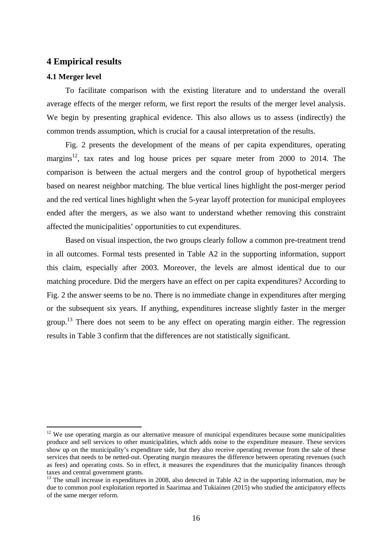#### **4 Empirical results**

#### **4.1 Merger level**

 $\overline{a}$ 

To facilitate comparison with the existing literature and to understand the overall average effects of the merger reform, we first report the results of the merger level analysis. We begin by presenting graphical evidence. This also allows us to assess (indirectly) the common trends assumption, which is crucial for a causal interpretation of the results.

Fig. 2 presents the development of the means of per capita expenditures, operating margins<sup>12</sup>, tax rates and log house prices per square meter from 2000 to 2014. The comparison is between the actual mergers and the control group of hypothetical mergers based on nearest neighbor matching. The blue vertical lines highlight the post-merger period and the red vertical lines highlight when the 5-year layoff protection for municipal employees ended after the mergers, as we also want to understand whether removing this constraint affected the municipalities' opportunities to cut expenditures.

Based on visual inspection, the two groups clearly follow a common pre-treatment trend in all outcomes. Formal tests presented in Table A2 in the supporting information, support this claim, especially after 2003. Moreover, the levels are almost identical due to our matching procedure. Did the mergers have an effect on per capita expenditures? According to Fig. 2 the answer seems to be no. There is no immediate change in expenditures after merging or the subsequent six years. If anything, expenditures increase slightly faster in the merger group.<sup>13</sup> There does not seem to be any effect on operating margin either. The regression results in Table 3 confirm that the differences are not statistically significant.

<sup>&</sup>lt;sup>12</sup> We use operating margin as our alternative measure of municipal expenditures because some municipalities produce and sell services to other municipalities, which adds noise to the expenditure measure. These services show up on the municipality's expenditure side, but they also receive operating revenue from the sale of these services that needs to be netted-out. Operating margin measures the difference between operating revenues (such as fees) and operating costs. So in effect, it measures the expenditures that the municipality finances through taxes and central government grants.

<sup>&</sup>lt;sup>13</sup> The small increase in expenditures in 2008, also detected in Table A2 in the supporting information, may be due to common pool exploitation reported in Saarimaa and Tukiainen (2015) who studied the anticipatory effects of the same merger reform.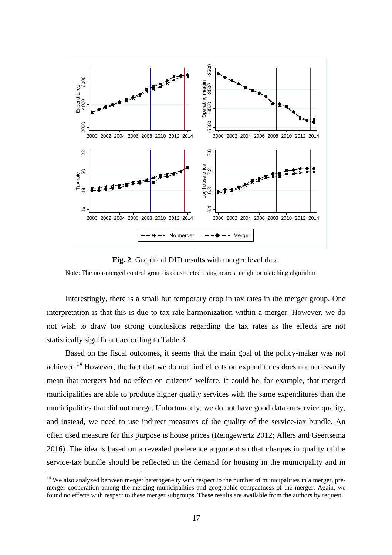

**Fig. 2**. Graphical DID results with merger level data.

Note: The non-merged control group is constructed using nearest neighbor matching algorithm

Interestingly, there is a small but temporary drop in tax rates in the merger group. One interpretation is that this is due to tax rate harmonization within a merger. However, we do not wish to draw too strong conclusions regarding the tax rates as the effects are not statistically significant according to Table 3.

Based on the fiscal outcomes, it seems that the main goal of the policy-maker was not achieved.<sup>14</sup> However, the fact that we do not find effects on expenditures does not necessarily mean that mergers had no effect on citizens' welfare. It could be, for example, that merged municipalities are able to produce higher quality services with the same expenditures than the municipalities that did not merge. Unfortunately, we do not have good data on service quality, and instead, we need to use indirect measures of the quality of the service-tax bundle. An often used measure for this purpose is house prices (Reingewertz 2012; Allers and Geertsema 2016). The idea is based on a revealed preference argument so that changes in quality of the service-tax bundle should be reflected in the demand for housing in the municipality and in

 $\overline{a}$ 

<sup>&</sup>lt;sup>14</sup> We also analyzed between merger heterogeneity with respect to the number of municipalities in a merger, premerger cooperation among the merging municipalities and geographic compactness of the merger. Again, we found no effects with respect to these merger subgroups. These results are available from the authors by request.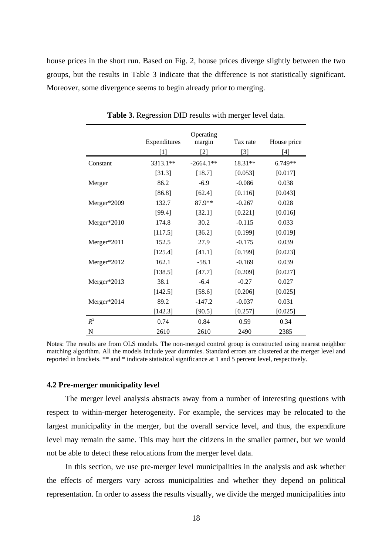house prices in the short run. Based on Fig. 2, house prices diverge slightly between the two groups, but the results in Table 3 indicate that the difference is not statistically significant. Moreover, some divergence seems to begin already prior to merging.

|             | Expenditures | Operating<br>margin | Tax rate | House price |
|-------------|--------------|---------------------|----------|-------------|
|             | $[1]$        | $[2]$               | $[3]$    | [4]         |
| Constant    | 3313.1**     | $-2664.1**$         | 18.31**  | 6.749**     |
|             | [31.3]       | [18.7]              | [0.053]  | [0.017]     |
| Merger      | 86.2         | $-6.9$              | $-0.086$ | 0.038       |
|             | [86.8]       | $[62.4]$            | [0.116]  | [0.043]     |
| Merger*2009 | 132.7        | 87.9**              | $-0.267$ | 0.028       |
|             | [99.4]       | [32.1]              | [0.221]  | [0.016]     |
| Merger*2010 | 174.8        | 30.2                | $-0.115$ | 0.033       |
|             | [117.5]      | [36.2]              | [0.199]  | [0.019]     |
| Merger*2011 | 152.5        | 27.9                | $-0.175$ | 0.039       |
|             | [125.4]      | [41.1]              | [0.199]  | [0.023]     |
| Merger*2012 | 162.1        | $-58.1$             | $-0.169$ | 0.039       |
|             | [138.5]      | [47.7]              | [0.209]  | [0.027]     |
| Merger*2013 | 38.1         | $-6.4$              | $-0.27$  | 0.027       |
|             | [142.5]      | [58.6]              | [0.206]  | [0.025]     |
| Merger*2014 | 89.2         | $-147.2$            | $-0.037$ | 0.031       |
|             | [142.3]      | [90.5]              | [0.257]  | [0.025]     |
| $R^2$       | 0.74         | 0.84                | 0.59     | 0.34        |
| N           | 2610         | 2610                | 2490     | 2385        |

**Table 3.** Regression DID results with merger level data.

Notes: The results are from OLS models. The non-merged control group is constructed using nearest neighbor matching algorithm. All the models include year dummies. Standard errors are clustered at the merger level and reported in brackets. \*\* and \* indicate statistical significance at 1 and 5 percent level, respectively.

#### **4.2 Pre-merger municipality level**

The merger level analysis abstracts away from a number of interesting questions with respect to within-merger heterogeneity. For example, the services may be relocated to the largest municipality in the merger, but the overall service level, and thus, the expenditure level may remain the same. This may hurt the citizens in the smaller partner, but we would not be able to detect these relocations from the merger level data.

In this section, we use pre-merger level municipalities in the analysis and ask whether the effects of mergers vary across municipalities and whether they depend on political representation. In order to assess the results visually, we divide the merged municipalities into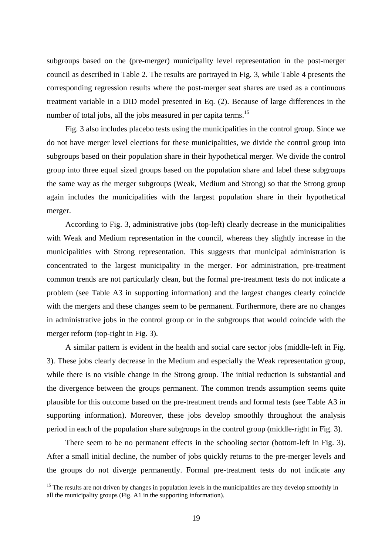subgroups based on the (pre-merger) municipality level representation in the post-merger council as described in Table 2. The results are portrayed in Fig. 3, while Table 4 presents the corresponding regression results where the post-merger seat shares are used as a continuous treatment variable in a DID model presented in Eq. (2). Because of large differences in the number of total jobs, all the jobs measured in per capita terms.<sup>15</sup>

Fig. 3 also includes placebo tests using the municipalities in the control group. Since we do not have merger level elections for these municipalities, we divide the control group into subgroups based on their population share in their hypothetical merger. We divide the control group into three equal sized groups based on the population share and label these subgroups the same way as the merger subgroups (Weak, Medium and Strong) so that the Strong group again includes the municipalities with the largest population share in their hypothetical merger.

According to Fig. 3, administrative jobs (top-left) clearly decrease in the municipalities with Weak and Medium representation in the council, whereas they slightly increase in the municipalities with Strong representation. This suggests that municipal administration is concentrated to the largest municipality in the merger. For administration, pre-treatment common trends are not particularly clean, but the formal pre-treatment tests do not indicate a problem (see Table A3 in supporting information) and the largest changes clearly coincide with the mergers and these changes seem to be permanent. Furthermore, there are no changes in administrative jobs in the control group or in the subgroups that would coincide with the merger reform (top-right in Fig. 3).

A similar pattern is evident in the health and social care sector jobs (middle-left in Fig. 3). These jobs clearly decrease in the Medium and especially the Weak representation group, while there is no visible change in the Strong group. The initial reduction is substantial and the divergence between the groups permanent. The common trends assumption seems quite plausible for this outcome based on the pre-treatment trends and formal tests (see Table A3 in supporting information). Moreover, these jobs develop smoothly throughout the analysis period in each of the population share subgroups in the control group (middle-right in Fig. 3).

There seem to be no permanent effects in the schooling sector (bottom-left in Fig. 3). After a small initial decline, the number of jobs quickly returns to the pre-merger levels and the groups do not diverge permanently. Formal pre-treatment tests do not indicate any

 $\overline{a}$ 

 $15$  The results are not driven by changes in population levels in the municipalities are they develop smoothly in all the municipality groups (Fig. A1 in the supporting information).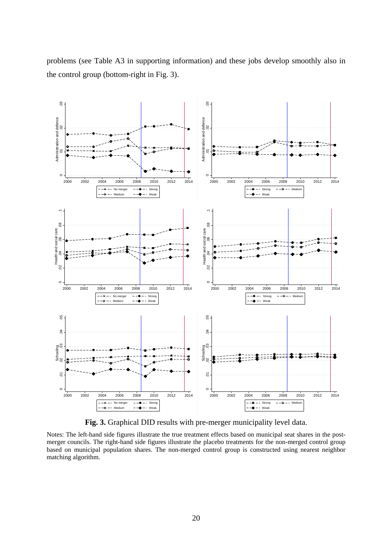

problems (see Table A3 in supporting information) and these jobs develop smoothly also in the control group (bottom-right in Fig. 3).

**Fig. 3.** Graphical DID results with pre-merger municipality level data.

Notes: The left-hand side figures illustrate the true treatment effects based on municipal seat shares in the postmerger councils. The right-hand side figures illustrate the placebo treatments for the non-merged control group based on municipal population shares. The non-merged control group is constructed using nearest neighbor matching algorithm.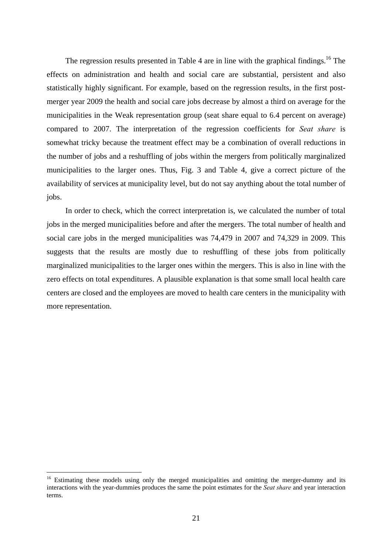The regression results presented in Table 4 are in line with the graphical findings.<sup>16</sup> The effects on administration and health and social care are substantial, persistent and also statistically highly significant. For example, based on the regression results, in the first postmerger year 2009 the health and social care jobs decrease by almost a third on average for the municipalities in the Weak representation group (seat share equal to 6.4 percent on average) compared to 2007. The interpretation of the regression coefficients for *Seat share* is somewhat tricky because the treatment effect may be a combination of overall reductions in the number of jobs and a reshuffling of jobs within the mergers from politically marginalized municipalities to the larger ones. Thus, Fig. 3 and Table 4, give a correct picture of the availability of services at municipality level, but do not say anything about the total number of jobs.

In order to check, which the correct interpretation is, we calculated the number of total jobs in the merged municipalities before and after the mergers. The total number of health and social care jobs in the merged municipalities was 74,479 in 2007 and 74,329 in 2009. This suggests that the results are mostly due to reshuffling of these jobs from politically marginalized municipalities to the larger ones within the mergers. This is also in line with the zero effects on total expenditures. A plausible explanation is that some small local health care centers are closed and the employees are moved to health care centers in the municipality with more representation.

 $\overline{a}$ 

<sup>&</sup>lt;sup>16</sup> Estimating these models using only the merged municipalities and omitting the merger-dummy and its interactions with the year-dummies produces the same the point estimates for the *Seat share* and year interaction terms.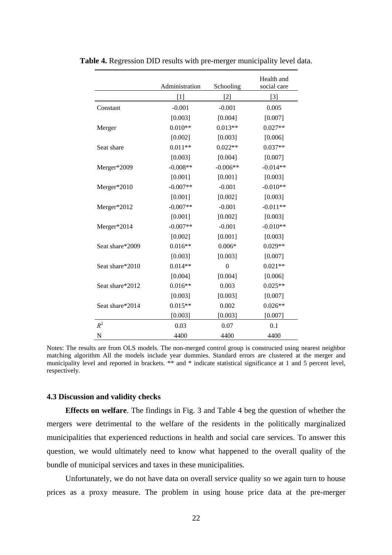|                 | Administration | Schooling      | Health and<br>social care |
|-----------------|----------------|----------------|---------------------------|
|                 | [1]            | $[2]$          | $[3]$                     |
| Constant        | $-0.001$       | $-0.001$       | 0.005                     |
|                 | [0.003]        | [0.004]        | [0.007]                   |
| Merger          | $0.010**$      | $0.013**$      | $0.027**$                 |
|                 | [0.002]        | [0.003]        | [0.006]                   |
| Seat share      | $0.011**$      | $0.022**$      | $0.037**$                 |
|                 | [0.003]        | [0.004]        | [0.007]                   |
| Merger*2009     | $-0.008**$     | $-0.006**$     | $-0.014**$                |
|                 | [0.001]        | [0.001]        | [0.003]                   |
| Merger*2010     | $-0.007**$     | $-0.001$       | $-0.010**$                |
|                 | [0.001]        | [0.002]        | [0.003]                   |
| Merger*2012     | $-0.007**$     | $-0.001$       | $-0.011**$                |
|                 | [0.001]        | [0.002]        | [0.003]                   |
| Merger*2014     | $-0.007**$     | $-0.001$       | $-0.010**$                |
|                 | [0.002]        | [0.001]        | [0.003]                   |
| Seat share*2009 | $0.016**$      | $0.006*$       | $0.029**$                 |
|                 | [0.003]        | [0.003]        | [0.007]                   |
| Seat share*2010 | $0.014**$      | $\overline{0}$ | $0.021**$                 |
|                 | [0.004]        | [0.004]        | [0.006]                   |
| Seat share*2012 | $0.016**$      | 0.003          | $0.025**$                 |
|                 | [0.003]        | [0.003]        | [0.007]                   |
| Seat share*2014 | $0.015**$      | 0.002          | $0.026**$                 |
|                 | [0.003]        | [0.003]        | [0.007]                   |
| $R^2$           | 0.03           | 0.07           | 0.1                       |
| N               | 4400           | 4400           | 4400                      |

**Table 4.** Regression DID results with pre-merger municipality level data.

Notes: The results are from OLS models. The non-merged control group is constructed using nearest neighbor matching algorithm All the models include year dummies. Standard errors are clustered at the merger and municipality level and reported in brackets. \*\* and \* indicate statistical significance at 1 and 5 percent level, respectively.

#### **4.3 Discussion and validity checks**

**Effects on welfare**. The findings in Fig. 3 and Table 4 beg the question of whether the mergers were detrimental to the welfare of the residents in the politically marginalized municipalities that experienced reductions in health and social care services. To answer this question, we would ultimately need to know what happened to the overall quality of the bundle of municipal services and taxes in these municipalities.

Unfortunately, we do not have data on overall service quality so we again turn to house prices as a proxy measure. The problem in using house price data at the pre-merger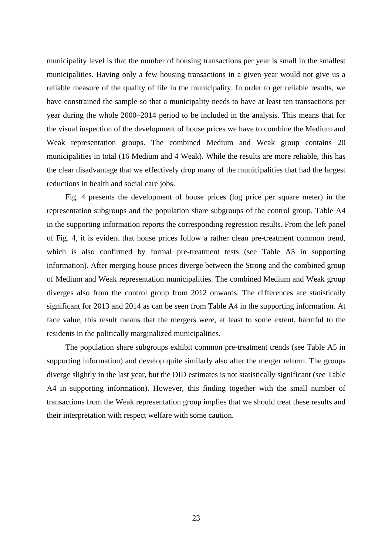municipality level is that the number of housing transactions per year is small in the smallest municipalities. Having only a few housing transactions in a given year would not give us a reliable measure of the quality of life in the municipality. In order to get reliable results, we have constrained the sample so that a municipality needs to have at least ten transactions per year during the whole 2000–2014 period to be included in the analysis. This means that for the visual inspection of the development of house prices we have to combine the Medium and Weak representation groups. The combined Medium and Weak group contains 20 municipalities in total (16 Medium and 4 Weak). While the results are more reliable, this has the clear disadvantage that we effectively drop many of the municipalities that had the largest reductions in health and social care jobs.

Fig. 4 presents the development of house prices (log price per square meter) in the representation subgroups and the population share subgroups of the control group. Table A4 in the supporting information reports the corresponding regression results. From the left panel of Fig. 4, it is evident that house prices follow a rather clean pre-treatment common trend, which is also confirmed by formal pre-treatment tests (see Table A5 in supporting information). After merging house prices diverge between the Strong and the combined group of Medium and Weak representation municipalities. The combined Medium and Weak group diverges also from the control group from 2012 onwards. The differences are statistically significant for 2013 and 2014 as can be seen from Table A4 in the supporting information. At face value, this result means that the mergers were, at least to some extent, harmful to the residents in the politically marginalized municipalities.

The population share subgroups exhibit common pre-treatment trends (see Table A5 in supporting information) and develop quite similarly also after the merger reform. The groups diverge slightly in the last year, but the DID estimates is not statistically significant (see Table A4 in supporting information). However, this finding together with the small number of transactions from the Weak representation group implies that we should treat these results and their interpretation with respect welfare with some caution.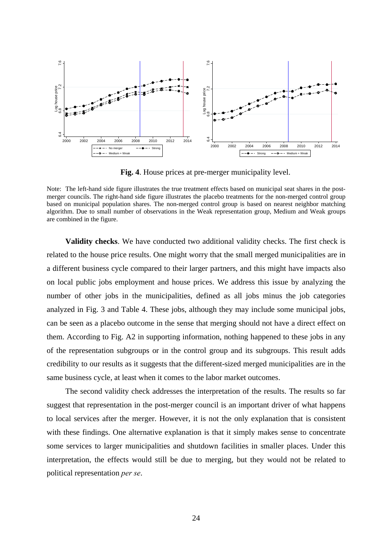

**Fig. 4**. House prices at pre-merger municipality level.

**Validity checks**. We have conducted two additional validity checks. The first check is related to the house price results. One might worry that the small merged municipalities are in a different business cycle compared to their larger partners, and this might have impacts also on local public jobs employment and house prices. We address this issue by analyzing the number of other jobs in the municipalities, defined as all jobs minus the job categories analyzed in Fig. 3 and Table 4. These jobs, although they may include some municipal jobs, can be seen as a placebo outcome in the sense that merging should not have a direct effect on them. According to Fig. A2 in supporting information, nothing happened to these jobs in any of the representation subgroups or in the control group and its subgroups. This result adds credibility to our results as it suggests that the different-sized merged municipalities are in the same business cycle, at least when it comes to the labor market outcomes. **Political representation** *per secondation*<br> **political representation** *per secondation per secondation per secondation per secondation per secondation per secondation share combined in the figure.* **Validit** 

The second validity check addresses the interpretation of the results. The results so far suggest that representation in the post-merger council is an important driver of what happens to local services after the merger. However, it is not the only explanation that is consistent with these findings. One alternative explanation is that it simply makes sense to concentrate some services to larger municipalities and shutdown facilities in smaller places. Under this interpretation, the effects would still be due to merging, but they would not be related to

Note: The left-hand side figure illustrates the true treatment effects based on municipal seat shares in the postmerger councils. The right-hand side figure illustrates the placebo treatments for the non-merged control group based on municipal population shares. The non-merged control group is based on nearest neighbor matching algorithm. Due to small number of observations in the Weak representation group, Medium and Weak groups are combined in the figure.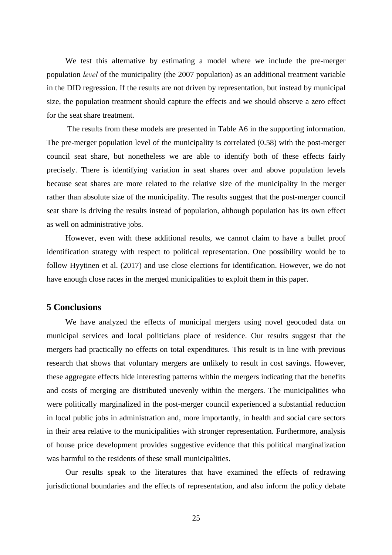We test this alternative by estimating a model where we include the pre-merger population *level* of the municipality (the 2007 population) as an additional treatment variable in the DID regression. If the results are not driven by representation, but instead by municipal size, the population treatment should capture the effects and we should observe a zero effect for the seat share treatment.

 The results from these models are presented in Table A6 in the supporting information. The pre-merger population level of the municipality is correlated (0.58) with the post-merger council seat share, but nonetheless we are able to identify both of these effects fairly precisely. There is identifying variation in seat shares over and above population levels because seat shares are more related to the relative size of the municipality in the merger rather than absolute size of the municipality. The results suggest that the post-merger council seat share is driving the results instead of population, although population has its own effect as well on administrative jobs.

However, even with these additional results, we cannot claim to have a bullet proof identification strategy with respect to political representation. One possibility would be to follow Hyytinen et al. (2017) and use close elections for identification. However, we do not have enough close races in the merged municipalities to exploit them in this paper.

#### **5 Conclusions**

We have analyzed the effects of municipal mergers using novel geocoded data on municipal services and local politicians place of residence. Our results suggest that the mergers had practically no effects on total expenditures. This result is in line with previous research that shows that voluntary mergers are unlikely to result in cost savings. However, these aggregate effects hide interesting patterns within the mergers indicating that the benefits and costs of merging are distributed unevenly within the mergers. The municipalities who were politically marginalized in the post-merger council experienced a substantial reduction in local public jobs in administration and, more importantly, in health and social care sectors in their area relative to the municipalities with stronger representation. Furthermore, analysis of house price development provides suggestive evidence that this political marginalization was harmful to the residents of these small municipalities.

Our results speak to the literatures that have examined the effects of redrawing jurisdictional boundaries and the effects of representation, and also inform the policy debate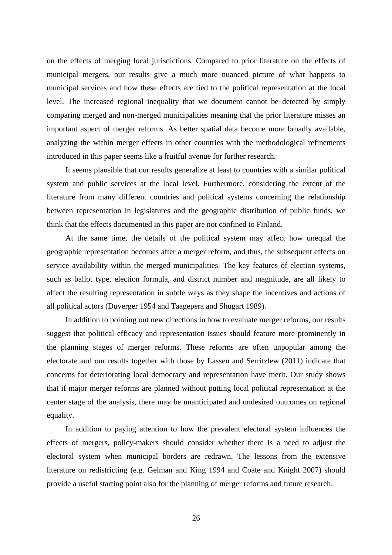on the effects of merging local jurisdictions. Compared to prior literature on the effects of municipal mergers, our results give a much more nuanced picture of what happens to municipal services and how these effects are tied to the political representation at the local level. The increased regional inequality that we document cannot be detected by simply comparing merged and non-merged municipalities meaning that the prior literature misses an important aspect of merger reforms. As better spatial data become more broadly available, analyzing the within merger effects in other countries with the methodological refinements introduced in this paper seems like a fruitful avenue for further research.

It seems plausible that our results generalize at least to countries with a similar political system and public services at the local level. Furthermore, considering the extent of the literature from many different countries and political systems concerning the relationship between representation in legislatures and the geographic distribution of public funds, we think that the effects documented in this paper are not confined to Finland.

At the same time, the details of the political system may affect how unequal the geographic representation becomes after a merger reform, and thus, the subsequent effects on service availability within the merged municipalities. The key features of election systems, such as ballot type, election formula, and district number and magnitude, are all likely to affect the resulting representation in subtle ways as they shape the incentives and actions of all political actors (Duverger 1954 and Taagepera and Shugart 1989).

In addition to pointing out new directions in how to evaluate merger reforms, our results suggest that political efficacy and representation issues should feature more prominently in the planning stages of merger reforms. These reforms are often unpopular among the electorate and our results together with those by Lassen and Serritzlew (2011) indicate that concerns for deteriorating local democracy and representation have merit. Our study shows that if major merger reforms are planned without putting local political representation at the center stage of the analysis, there may be unanticipated and undesired outcomes on regional equality.

In addition to paying attention to how the prevalent electoral system influences the effects of mergers, policy-makers should consider whether there is a need to adjust the electoral system when municipal borders are redrawn. The lessons from the extensive literature on redistricting (e.g. Gelman and King 1994 and Coate and Knight 2007) should provide a useful starting point also for the planning of merger reforms and future research.

26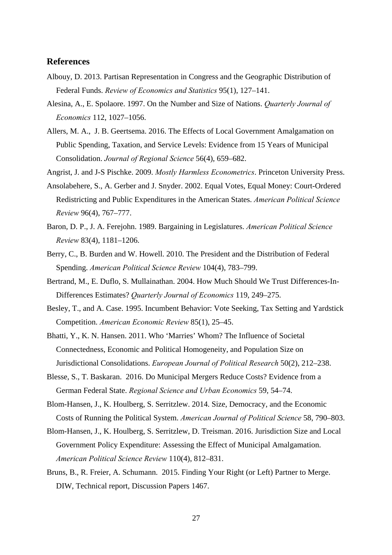#### **References**

- Albouy, D. 2013. Partisan Representation in Congress and the Geographic Distribution of Federal Funds. *Review of Economics and Statistics* 95(1), 127–141.
- Alesina, A., E. Spolaore. 1997. On the Number and Size of Nations. *Quarterly Journal of Economics* 112, 1027–1056.
- Allers, M. A., J. B. Geertsema. 2016. The Effects of Local Government Amalgamation on Public Spending, Taxation, and Service Levels: Evidence from 15 Years of Municipal Consolidation. *Journal of Regional Science* 56(4), 659–682.
- Angrist, J. and J-S Pischke. 2009. *Mostly Harmless Econometrics*. Princeton University Press.
- Ansolabehere, S., A. Gerber and J. Snyder. 2002. Equal Votes, Equal Money: Court-Ordered Redistricting and Public Expenditures in the American States. *American Political Science Review* 96(4), 767–777.
- Baron, D. P., J. A. Ferejohn. 1989. Bargaining in Legislatures. *American Political Science Review* 83(4), 1181–1206.
- Berry, C., B. Burden and W. Howell. 2010. The President and the Distribution of Federal Spending. *American Political Science Review* 104(4), 783–799.
- Bertrand, M., E. Duflo, S. Mullainathan. 2004. How Much Should We Trust Differences-In-Differences Estimates? *Quarterly Journal of Economics* 119, 249–275.
- Besley, T., and A. Case. 1995. Incumbent Behavior: Vote Seeking, Tax Setting and Yardstick Competition. *American Economic Review* 85(1), 25–45.
- Bhatti, Y., K. N. Hansen. 2011. Who 'Marries' Whom? The Influence of Societal Connectedness, Economic and Political Homogeneity, and Population Size on Jurisdictional Consolidations. *European Journal of Political Research* 50(2), 212–238.
- Blesse, S., T. Baskaran. 2016. Do Municipal Mergers Reduce Costs? Evidence from a German Federal State. *Regional Science and Urban Economics* 59, 54–74.
- Blom-Hansen, J., K. Houlberg, S. Serritzlew. 2014. Size, Democracy, and the Economic Costs of Running the Political System. *American Journal of Political Science* 58, 790–803.
- Blom-Hansen, J., K. Houlberg, S. Serritzlew, D. Treisman. 2016. Jurisdiction Size and Local Government Policy Expenditure: Assessing the Effect of Municipal Amalgamation. *American Political Science Review* 110(4), 812–831.
- Bruns, B., R. Freier, A. Schumann. 2015. Finding Your Right (or Left) Partner to Merge. DIW, Technical report, Discussion Papers 1467.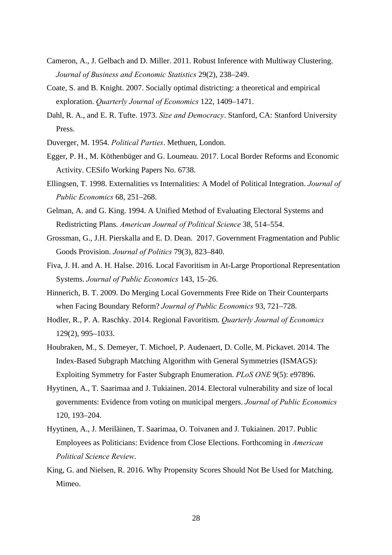- Cameron, A., J. Gelbach and D. Miller. 2011. Robust Inference with Multiway Clustering. *Journal of Business and Economic Statistics* 29(2), 238–249.
- Coate, S. and B. Knight. 2007. Socially optimal districting: a theoretical and empirical exploration. *Quarterly Journal of Economics* 122, 1409–1471.
- Dahl, R. A., and E. R. Tufte. 1973. *Size and Democracy*. Stanford, CA: Stanford University Press.
- Duverger, M. 1954. *Political Parties*. Methuen, London.
- Egger, P. H., M. Köthenbüger and G. Loumeau. 2017. Local Border Reforms and Economic Activity. CESifo Working Papers No. 6738.
- Ellingsen, T. 1998. Externalities vs Internalities: A Model of Political Integration. *Journal of Public Economics* 68, 251–268.
- Gelman, A. and G. King. 1994. A Unified Method of Evaluating Electoral Systems and Redistricting Plans. *American Journal of Political Science* 38, 514–554.
- Grossman, G., J.H. Pierskalla and E. D. Dean. 2017. Government Fragmentation and Public Goods Provision. *Journal of Politics* 79(3), 823–840.
- Fiva, J. H. and A. H. Halse. 2016. Local Favoritism in At-Large Proportional Representation Systems. *Journal of Public Economics* 143, 15–26.
- Hinnerich, B. T. 2009. Do Merging Local Governments Free Ride on Their Counterparts when Facing Boundary Reform? *Journal of Public Economics* 93, 721–728.
- Hodler, R., P. A. Raschky. 2014. Regional Favoritism. *Quarterly Journal of Economics* 129(2), 995–1033.
- Houbraken, M., S. Demeyer, T. Michoel, P. Audenaert, D. Colle, M. Pickavet. 2014. The Index-Based Subgraph Matching Algorithm with General Symmetries (ISMAGS): Exploiting Symmetry for Faster Subgraph Enumeration. *PLoS ONE* 9(5): e97896.
- Hyytinen, A., T. Saarimaa and J. Tukiainen. 2014. Electoral vulnerability and size of local governments: Evidence from voting on municipal mergers. *Journal of Public Economics* 120, 193–204.
- Hyytinen, A., J. Meriläinen, T. Saarimaa, O. Toivanen and J. Tukiainen. 2017. Public Employees as Politicians: Evidence from Close Elections. Forthcoming in *American Political Science Review*.
- King, G. and Nielsen, R. 2016. Why Propensity Scores Should Not Be Used for Matching. Mimeo.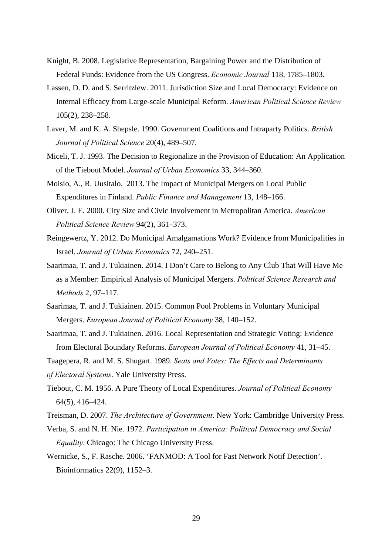- Knight, B. 2008. Legislative Representation, Bargaining Power and the Distribution of Federal Funds: Evidence from the US Congress. *Economic Journal* 118, 1785–1803.
- Lassen, D. D. and S. Serritzlew. 2011. Jurisdiction Size and Local Democracy: Evidence on Internal Efficacy from Large-scale Municipal Reform. *American Political Science Review* 105(2), 238–258.
- Laver, M. and K. A. Shepsle. 1990. Government Coalitions and Intraparty Politics. *British Journal of Political Science* 20(4), 489–507.
- Miceli, T. J. 1993. The Decision to Regionalize in the Provision of Education: An Application of the Tiebout Model. *Journal of Urban Economics* 33, 344–360.
- Moisio, A., R. Uusitalo. 2013. The Impact of Municipal Mergers on Local Public Expenditures in Finland. *Public Finance and Management* 13, 148–166.
- Oliver, J. E. 2000. City Size and Civic Involvement in Metropolitan America. *American Political Science Review* 94(2), 361–373.
- Reingewertz, Y. 2012. Do Municipal Amalgamations Work? Evidence from Municipalities in Israel. *Journal of Urban Economics* 72, 240–251.
- Saarimaa, T. and J. Tukiainen. 2014. I Don't Care to Belong to Any Club That Will Have Me as a Member: Empirical Analysis of Municipal Mergers. *Political Science Research and Methods* 2, 97–117.
- Saarimaa, T. and J. Tukiainen. 2015. Common Pool Problems in Voluntary Municipal Mergers. *European Journal of Political Economy* 38, 140–152.
- Saarimaa, T. and J. Tukiainen. 2016. Local Representation and Strategic Voting: Evidence from Electoral Boundary Reforms. *European Journal of Political Economy* 41, 31–45.
- Taagepera, R. and M. S. Shugart. 1989. *Seats and Votes: The Effects and Determinants*
- *of Electoral Systems*. Yale University Press.
- Tiebout, C. M. 1956. A Pure Theory of Local Expenditures. *Journal of Political Economy* 64(5), 416–424.
- Treisman, D. 2007. *The Architecture of Government*. New York: Cambridge University Press.
- Verba, S. and N. H. Nie. 1972. *Participation in America: Political Democracy and Social Equality*. Chicago: The Chicago University Press.
- Wernicke, S., F. Rasche. 2006. 'FANMOD: A Tool for Fast Network Notif Detection'. Bioinformatics 22(9), 1152–3.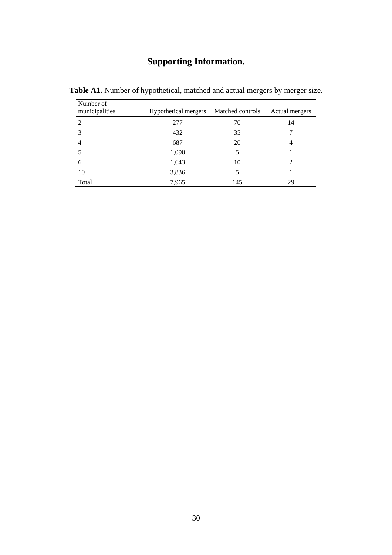### **Supporting Information.**

| Number of<br>municipalities | Hypothetical mergers | Matched controls | Actual mergers |
|-----------------------------|----------------------|------------------|----------------|
| $\overline{2}$              | 277                  | 70               | 14             |
| 3                           | 432                  | 35               |                |
| 4                           | 687                  | 20               | $\overline{4}$ |
|                             | 1,090                | 5                |                |
| 6                           | 1,643                | 10               |                |
| 10                          | 3,836                | 5                |                |
| Total                       | 7,965                | 145              | 29             |

Table A1. Number of hypothetical, matched and actual mergers by merger size.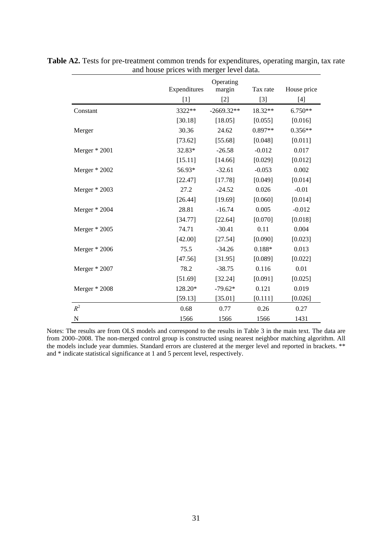|                 |              | Operating    |          |             |
|-----------------|--------------|--------------|----------|-------------|
|                 | Expenditures | margin       | Tax rate | House price |
|                 | $[1]$        | $[2]$        | $[3]$    | $[4]$       |
| Constant        | 3322**       | $-2669.32**$ | 18.32**  | $6.750**$   |
|                 | [30.18]      | [18.05]      | [0.055]  | [0.016]     |
| Merger          | 30.36        | 24.62        | 0.897**  | $0.356**$   |
|                 | [73.62]      | [55.68]      | [0.048]  | [0.011]     |
| Merger $*$ 2001 | 32.83*       | $-26.58$     | $-0.012$ | 0.017       |
|                 | [15.11]      | [14.66]      | [0.029]  | [0.012]     |
| Merger * 2002   | 56.93*       | $-32.61$     | $-0.053$ | 0.002       |
|                 | [22.47]      | [17.78]      | [0.049]  | [0.014]     |
| Merger $*$ 2003 | 27.2         | $-24.52$     | 0.026    | $-0.01$     |
|                 | [26.44]      | [19.69]      | [0.060]  | [0.014]     |
| Merger $*$ 2004 | 28.81        | $-16.74$     | 0.005    | $-0.012$    |
|                 | [34.77]      | [22.64]      | [0.070]  | [0.018]     |
| Merger $*$ 2005 | 74.71        | $-30.41$     | 0.11     | 0.004       |
|                 | [42.00]      | [27.54]      | [0.090]  | [0.023]     |
| Merger $*$ 2006 | 75.5         | $-34.26$     | $0.188*$ | 0.013       |
|                 | [47.56]      | [31.95]      | [0.089]  | [0.022]     |
| Merger $*$ 2007 | 78.2         | $-38.75$     | 0.116    | 0.01        |
|                 | [51.69]      | [32.24]      | [0.091]  | [0.025]     |
| Merger $*$ 2008 | 128.20*      | $-79.62*$    | 0.121    | 0.019       |
|                 | [59.13]      | [35.01]      | [0.111]  | [0.026]     |
| $R^2$           | 0.68         | 0.77         | 0.26     | 0.27        |
| N               | 1566         | 1566         | 1566     | 1431        |

**Table A2.** Tests for pre-treatment common trends for expenditures, operating margin, tax rate and house prices with merger level data.

Notes: The results are from OLS models and correspond to the results in Table 3 in the main text. The data are from 2000–2008. The non-merged control group is constructed using nearest neighbor matching algorithm. All the models include year dummies. Standard errors are clustered at the merger level and reported in brackets. \*\* and \* indicate statistical significance at 1 and 5 percent level, respectively.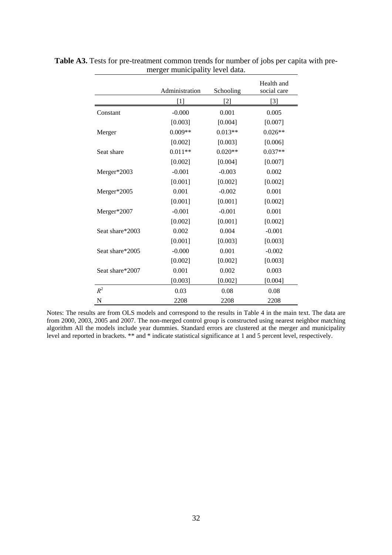|                 |                |           | Health and  |
|-----------------|----------------|-----------|-------------|
|                 | Administration | Schooling | social care |
|                 | $[1]$          | $[2]$     | $[3]$       |
| Constant        | $-0.000$       | 0.001     | 0.005       |
|                 | [0.003]        | [0.004]   | [0.007]     |
| Merger          | $0.009**$      | $0.013**$ | $0.026**$   |
|                 | [0.002]        | [0.003]   | [0.006]     |
| Seat share      | $0.011**$      | $0.020**$ | $0.037**$   |
|                 | [0.002]        | [0.004]   | [0.007]     |
| Merger*2003     | $-0.001$       | $-0.003$  | 0.002       |
|                 | [0.001]        | [0.002]   | [0.002]     |
| Merger*2005     | 0.001          | $-0.002$  | 0.001       |
|                 | [0.001]        | [0.001]   | [0.002]     |
| Merger*2007     | $-0.001$       | $-0.001$  | 0.001       |
|                 | [0.002]        | [0.001]   | [0.002]     |
| Seat share*2003 | 0.002          | 0.004     | $-0.001$    |
|                 | [0.001]        | [0.003]   | [0.003]     |
| Seat share*2005 | $-0.000$       | 0.001     | $-0.002$    |
|                 | [0.002]        | [0.002]   | [0.003]     |
| Seat share*2007 | 0.001          | 0.002     | 0.003       |
|                 | [0.003]        | [0.002]   | [0.004]     |
| $R^2$           | 0.03           | 0.08      | 0.08        |
| N               | 2208           | 2208      | 2208        |

**Table A3.** Tests for pre-treatment common trends for number of jobs per capita with premerger municipality level data.

Notes: The results are from OLS models and correspond to the results in Table 4 in the main text. The data are from 2000, 2003, 2005 and 2007. The non-merged control group is constructed using nearest neighbor matching algorithm All the models include year dummies. Standard errors are clustered at the merger and municipality level and reported in brackets. \*\* and \* indicate statistical significance at 1 and 5 percent level, respectively.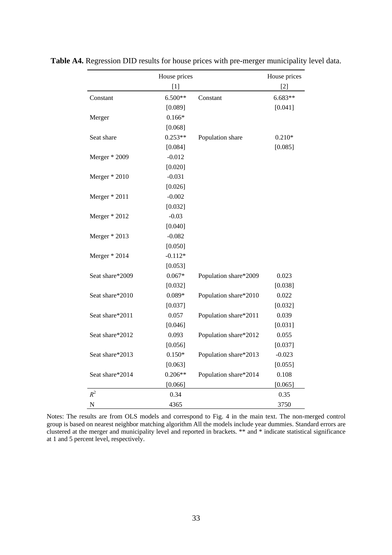|                 | House prices |                       | House prices |
|-----------------|--------------|-----------------------|--------------|
|                 | [1]          |                       | [2]          |
| Constant        | $6.500**$    | Constant              | $6.683**$    |
|                 | [0.089]      |                       | [0.041]      |
| Merger          | $0.166*$     |                       |              |
|                 | [0.068]      |                       |              |
| Seat share      | $0.253**$    | Population share      | $0.210*$     |
|                 | [0.084]      |                       | [0.085]      |
| Merger * 2009   | $-0.012$     |                       |              |
|                 | [0.020]      |                       |              |
| Merger $*$ 2010 | $-0.031$     |                       |              |
|                 | [0.026]      |                       |              |
| Merger * 2011   | $-0.002$     |                       |              |
|                 | [0.032]      |                       |              |
| Merger * 2012   | $-0.03$      |                       |              |
|                 | [0.040]      |                       |              |
| Merger $*$ 2013 | $-0.082$     |                       |              |
|                 | [0.050]      |                       |              |
| Merger * 2014   | $-0.112*$    |                       |              |
|                 | [0.053]      |                       |              |
| Seat share*2009 | $0.067*$     | Population share*2009 | 0.023        |
|                 | [0.032]      |                       | [0.038]      |
| Seat share*2010 | $0.089*$     | Population share*2010 | 0.022        |
|                 | [0.037]      |                       | [0.032]      |
| Seat share*2011 | 0.057        | Population share*2011 | 0.039        |
|                 | [0.046]      |                       | [0.031]      |
| Seat share*2012 | 0.093        | Population share*2012 | 0.055        |
|                 | [0.056]      |                       | [0.037]      |
| Seat share*2013 | $0.150*$     | Population share*2013 | $-0.023$     |
|                 | [0.063]      |                       | [0.055]      |
| Seat share*2014 | $0.206**$    | Population share*2014 | 0.108        |
|                 | [0.066]      |                       | [0.065]      |
| $R^2$           | 0.34         |                       | 0.35         |
| N               | 4365         |                       | 3750         |

**Table A4.** Regression DID results for house prices with pre-merger municipality level data.

Notes: The results are from OLS models and correspond to Fig. 4 in the main text. The non-merged control group is based on nearest neighbor matching algorithm All the models include year dummies. Standard errors are clustered at the merger and municipality level and reported in brackets. \*\* and \* indicate statistical significance at 1 and 5 percent level, respectively.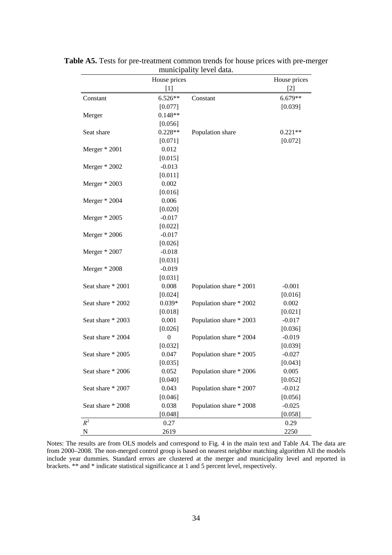|                   | House prices     |                         | House prices      |
|-------------------|------------------|-------------------------|-------------------|
|                   | $[1]$            |                         | $\lceil 2 \rceil$ |
| Constant          | 6.526**          | Constant                | 6.679**           |
|                   | [0.077]          |                         | [0.039]           |
| Merger            | $0.148**$        |                         |                   |
|                   | [0.056]          |                         |                   |
| Seat share        | $0.228**$        | Population share        | $0.221**$         |
|                   | [0.071]          |                         | [0.072]           |
| Merger $*$ 2001   | 0.012            |                         |                   |
|                   | [0.015]          |                         |                   |
| Merger * 2002     | $-0.013$         |                         |                   |
|                   | [0.011]          |                         |                   |
| Merger $*$ 2003   | 0.002            |                         |                   |
|                   | [0.016]          |                         |                   |
| Merger $*$ 2004   | 0.006            |                         |                   |
|                   | [0.020]          |                         |                   |
| Merger * 2005     | $-0.017$         |                         |                   |
|                   | [0.022]          |                         |                   |
| Merger $*$ 2006   | $-0.017$         |                         |                   |
|                   | [0.026]          |                         |                   |
| Merger $*$ 2007   | $-0.018$         |                         |                   |
|                   | [0.031]          |                         |                   |
| Merger $*$ 2008   | $-0.019$         |                         |                   |
|                   | [0.031]          |                         |                   |
| Seat share * 2001 | 0.008            | Population share * 2001 | $-0.001$          |
|                   | [0.024]          |                         | [0.016]           |
| Seat share * 2002 | $0.039*$         | Population share * 2002 | 0.002             |
|                   | [0.018]          |                         | [0.021]           |
| Seat share * 2003 | 0.001            | Population share * 2003 | $-0.017$          |
|                   | [0.026]          |                         | [0.036]           |
| Seat share * 2004 | $\boldsymbol{0}$ | Population share * 2004 | $-0.019$          |
|                   | [0.032]          |                         | [0.039]           |
| Seat share * 2005 | 0.047            | Population share * 2005 | $-0.027$          |
|                   | [0.035]          |                         | [0.043]           |
| Seat share * 2006 | 0.052            | Population share * 2006 | 0.005             |
|                   | [0.040]          |                         | [0.052]           |
| Seat share * 2007 | 0.043            | Population share * 2007 | $-0.012$          |
|                   | [0.046]          |                         | [0.056]           |
| Seat share * 2008 | 0.038            | Population share * 2008 | $-0.025$          |
|                   | [0.048]          |                         | [0.058]           |
| $R^2$             | 0.27             |                         | 0.29              |
| ${\bf N}$         | 2619             |                         | 2250              |

**Table A5.** Tests for pre-treatment common trends for house prices with pre-merger municipality level data.

Notes: The results are from OLS models and correspond to Fig. 4 in the main text and Table A4. The data are from 2000–2008. The non-merged control group is based on nearest neighbor matching algorithm All the models include year dummies. Standard errors are clustered at the merger and municipality level and reported in brackets. \*\* and \* indicate statistical significance at 1 and 5 percent level, respectively.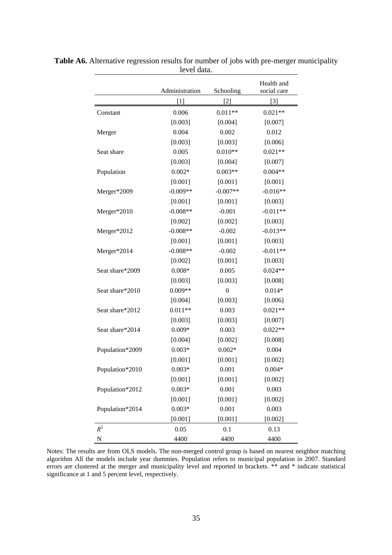|                 |                |                  | Health and  |
|-----------------|----------------|------------------|-------------|
|                 | Administration | Schooling        | social care |
|                 | $[1]$          | $[2]$            | $[3]$       |
| Constant        | 0.006          | $0.011**$        | $0.021**$   |
|                 | [0.003]        | [0.004]          | [0.007]     |
| Merger          | 0.004          | 0.002            | 0.012       |
|                 | [0.003]        | [0.003]          | [0.006]     |
| Seat share      | 0.005          | $0.010**$        | $0.021**$   |
|                 | [0.003]        | [0.004]          | [0.007]     |
| Population      | $0.002*$       | $0.003**$        | $0.004**$   |
|                 | [0.001]        | [0.001]          | [0.001]     |
| Merger*2009     | $-0.009**$     | $-0.007**$       | $-0.016**$  |
|                 | [0.001]        | [0.001]          | [0.003]     |
| Merger*2010     | $-0.008**$     | $-0.001$         | $-0.011**$  |
|                 | [0.002]        | [0.002]          | [0.003]     |
| Merger*2012     | $-0.008**$     | $-0.002$         | $-0.013**$  |
|                 | [0.001]        | [0.001]          | [0.003]     |
| Merger*2014     | $-0.008**$     | $-0.002$         | $-0.011**$  |
|                 | [0.002]        | [0.001]          | [0.003]     |
| Seat share*2009 | $0.008*$       | 0.005            | $0.024**$   |
|                 | [0.003]        | [0.003]          | [0.008]     |
| Seat share*2010 | $0.009**$      | $\boldsymbol{0}$ | $0.014*$    |
|                 | [0.004]        | [0.003]          | [0.006]     |
| Seat share*2012 | $0.011**$      | 0.003            | $0.021**$   |
|                 | [0.003]        | [0.003]          | [0.007]     |
| Seat share*2014 | $0.009*$       | 0.003            | $0.022**$   |
|                 | [0.004]        | [0.002]          | [0.008]     |
| Population*2009 | $0.003*$       | $0.002*$         | 0.004       |
|                 | [0.001]        | [0.001]          | [0.002]     |
| Population*2010 | $0.003*$       | 0.001            | $0.004*$    |
|                 | [0.001]        | [0.001]          | [0.002]     |
| Population*2012 | $0.003*$       | 0.001            | 0.003       |
|                 | [0.001]        | [0.001]          | [0.002]     |
| Population*2014 | $0.003*$       | 0.001            | 0.003       |
|                 | [0.001]        | [0.001]          | [0.002]     |
| $R^2$           | 0.05           | 0.1              | 0.13        |
| ${\bf N}$       | 4400           | 4400             | 4400        |

**Table A6.** Alternative regression results for number of jobs with pre-merger municipality level data.

Notes: The results are from OLS models. The non-merged control group is based on nearest neighbor matching algorithm All the models include year dummies. Population refers to municipal population in 2007. Standard errors are clustered at the merger and municipality level and reported in brackets. \*\* and \* indicate statistical errors significance at 1 and 5 percent level, respectively.